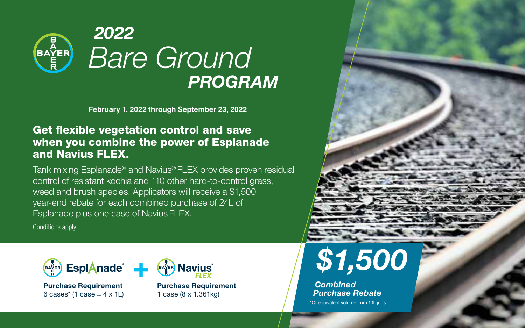

**February 1, 2022 through September 23, 2022**

## Get flexible vegetation control and save when you combine the power of Esplanade and Navius FLEX.

Tank mixing Esplanade® and Navius® FLEX provides proven residual control of resistant kochia and 110 other hard-to-control grass, weed and brush species. Applicators will receive a \$1,500 year-end rebate for each combined purchase of 24L of Esplanade plus one case of Navius FLEX.

Conditions apply.



**Purchase Requirement**  $6 \text{ cases}^*$  (1 case =  $4 \times 1$ L)



**Purchase Requirement**  1 case (8 x 1.361kg)



*Combined Purchase Rebate*

\*Or equivalent volume from 10L jugs